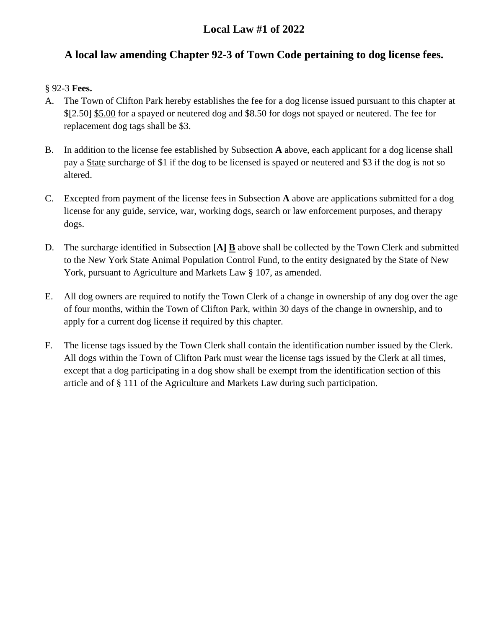# **Local Law #1 of 2022**

# **A local law amending Chapter 92-3 of Town Code pertaining to dog license fees.**

## § 92-3 **Fees.**

- A. The Town of Clifton Park hereby establishes the fee for a dog license issued pursuant to this chapter at \$[2.50] \$5.00 for a spayed or neutered dog and \$8.50 for dogs not spayed or neutered. The fee for replacement dog tags shall be \$3.
- B. In addition to the license fee established by Subsection **A** above, each applicant for a dog license shall pay a State surcharge of \$1 if the dog to be licensed is spayed or neutered and \$3 if the dog is not so altered.
- C. Excepted from payment of the license fees in Subsection **A** above are applications submitted for a dog license for any guide, service, war, working dogs, search or law enforcement purposes, and therapy dogs.
- D. The surcharge identified in Subsection [**A] B** above shall be collected by the Town Clerk and submitted to the New York State Animal Population Control Fund, to the entity designated by the State of New York, pursuant to Agriculture and Markets Law § 107, as amended.
- E. All dog owners are required to notify the Town Clerk of a change in ownership of any dog over the age of four months, within the Town of Clifton Park, within 30 days of the change in ownership, and to apply for a current dog license if required by this chapter.
- F. The license tags issued by the Town Clerk shall contain the identification number issued by the Clerk. All dogs within the Town of Clifton Park must wear the license tags issued by the Clerk at all times, except that a dog participating in a dog show shall be exempt from the identification section of this article and of § 111 of the Agriculture and Markets Law during such participation.